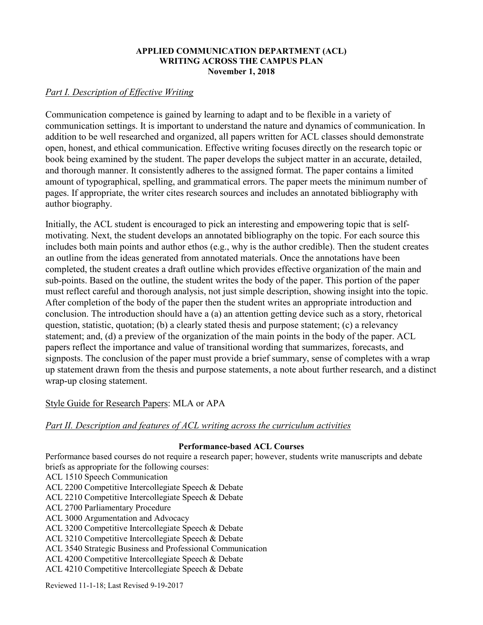#### **APPLIED COMMUNICATION DEPARTMENT (ACL) WRITING ACROSS THE CAMPUS PLAN November 1, 2018**

# *Part I. Description of Effective Writing*

Communication competence is gained by learning to adapt and to be flexible in a variety of communication settings. It is important to understand the nature and dynamics of communication. In addition to be well researched and organized, all papers written for ACL classes should demonstrate open, honest, and ethical communication. Effective writing focuses directly on the research topic or book being examined by the student. The paper develops the subject matter in an accurate, detailed, and thorough manner. It consistently adheres to the assigned format. The paper contains a limited amount of typographical, spelling, and grammatical errors. The paper meets the minimum number of pages. If appropriate, the writer cites research sources and includes an annotated bibliography with author biography.

Initially, the ACL student is encouraged to pick an interesting and empowering topic that is selfmotivating. Next, the student develops an annotated bibliography on the topic. For each source this includes both main points and author ethos (e.g., why is the author credible). Then the student creates an outline from the ideas generated from annotated materials. Once the annotations have been completed, the student creates a draft outline which provides effective organization of the main and sub-points. Based on the outline, the student writes the body of the paper. This portion of the paper must reflect careful and thorough analysis, not just simple description, showing insight into the topic. After completion of the body of the paper then the student writes an appropriate introduction and conclusion. The introduction should have a (a) an attention getting device such as a story, rhetorical question, statistic, quotation; (b) a clearly stated thesis and purpose statement; (c) a relevancy statement; and, (d) a preview of the organization of the main points in the body of the paper. ACL papers reflect the importance and value of transitional wording that summarizes, forecasts, and signposts. The conclusion of the paper must provide a brief summary, sense of completes with a wrap up statement drawn from the thesis and purpose statements, a note about further research, and a distinct wrap-up closing statement.

# Style Guide for Research Papers: MLA or APA

## *Part II. Description and features of ACL writing across the curriculum activities*

#### **Performance-based ACL Courses**

Performance based courses do not require a research paper; however, students write manuscripts and debate briefs as appropriate for the following courses:

ACL 1510 Speech Communication

- ACL 2200 Competitive Intercollegiate Speech & Debate
- ACL 2210 Competitive Intercollegiate Speech & Debate
- ACL 2700 Parliamentary Procedure
- ACL 3000 Argumentation and Advocacy
- ACL 3200 Competitive Intercollegiate Speech & Debate
- ACL 3210 Competitive Intercollegiate Speech & Debate
- ACL 3540 Strategic Business and Professional Communication
- ACL 4200 Competitive Intercollegiate Speech & Debate
- ACL 4210 Competitive Intercollegiate Speech & Debate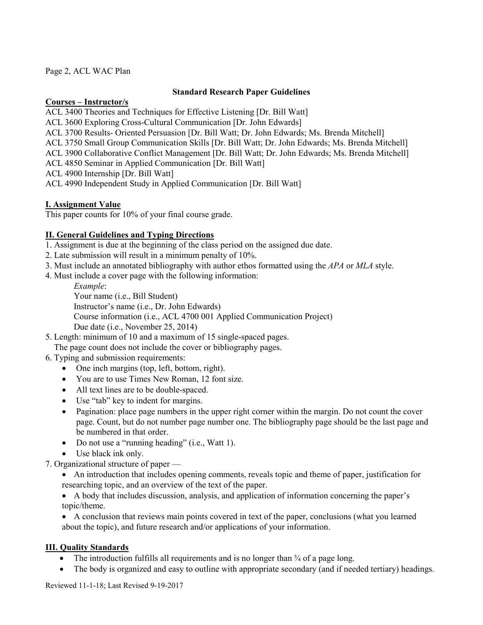Page 2, ACL WAC Plan

#### **Standard Research Paper Guidelines**

#### **Courses – Instructor/s**

- ACL 3400 Theories and Techniques for Effective Listening [Dr. Bill Watt]
- ACL 3600 Exploring Cross-Cultural Communication [Dr. John Edwards]
- ACL 3700 Results- Oriented Persuasion [Dr. Bill Watt; Dr. John Edwards; Ms. Brenda Mitchell]
- ACL 3750 Small Group Communication Skills [Dr. Bill Watt; Dr. John Edwards; Ms. Brenda Mitchell]
- ACL 3900 Collaborative Conflict Management [Dr. Bill Watt; Dr. John Edwards; Ms. Brenda Mitchell]
- ACL 4850 Seminar in Applied Communication [Dr. Bill Watt]
- ACL 4900 Internship [Dr. Bill Watt]
- ACL 4990 Independent Study in Applied Communication [Dr. Bill Watt]

# **I. Assignment Value**

This paper counts for 10% of your final course grade.

## **II. General Guidelines and Typing Directions**

- 1. Assignment is due at the beginning of the class period on the assigned due date.
- 2. Late submission will result in a minimum penalty of 10%.
- 3. Must include an annotated bibliography with author ethos formatted using the *APA* or *MLA* style.
- 4. Must include a cover page with the following information:

*Example*: Your name (i.e., Bill Student) Instructor's name (i.e., Dr. John Edwards) Course information (i.e., ACL 4700 001 Applied Communication Project) Due date (i.e., November 25, 2014)

5. Length: minimum of 10 and a maximum of 15 single-spaced pages.

The page count does not include the cover or bibliography pages.

- 6. Typing and submission requirements:
	- One inch margins (top, left, bottom, right).
	- You are to use Times New Roman, 12 font size.
	- All text lines are to be double-spaced.
	- Use "tab" key to indent for margins.
	- Pagination: place page numbers in the upper right corner within the margin. Do not count the cover page. Count, but do not number page number one. The bibliography page should be the last page and be numbered in that order.
	- Do not use a "running heading" (i.e., Watt 1).
	- Use black ink only.

7. Organizational structure of paper —

• An introduction that includes opening comments, reveals topic and theme of paper, justification for researching topic, and an overview of the text of the paper.

• A body that includes discussion, analysis, and application of information concerning the paper's topic/theme.

• A conclusion that reviews main points covered in text of the paper, conclusions (what you learned about the topic), and future research and/or applications of your information.

## **III. Quality Standards**

- The introduction fulfills all requirements and is no longer than  $\frac{3}{4}$  of a page long.
- The body is organized and easy to outline with appropriate secondary (and if needed tertiary) headings.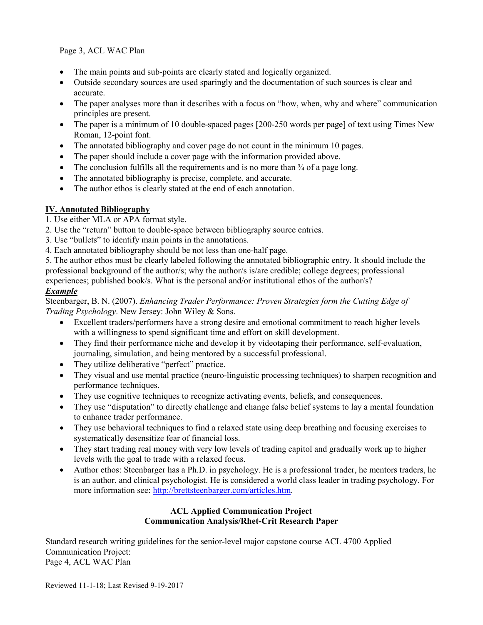Page 3, ACL WAC Plan

- The main points and sub-points are clearly stated and logically organized.
- Outside secondary sources are used sparingly and the documentation of such sources is clear and accurate.
- The paper analyses more than it describes with a focus on "how, when, why and where" communication principles are present.
- The paper is a minimum of 10 double-spaced pages [200-250 words per page] of text using Times New Roman, 12-point font.
- The annotated bibliography and cover page do not count in the minimum 10 pages.
- The paper should include a cover page with the information provided above.
- The conclusion fulfills all the requirements and is no more than  $\frac{3}{4}$  of a page long.
- The annotated bibliography is precise, complete, and accurate.
- The author ethos is clearly stated at the end of each annotation.

# **IV. Annotated Bibliography**

- 1. Use either MLA or APA format style.
- 2. Use the "return" button to double-space between bibliography source entries.
- 3. Use "bullets" to identify main points in the annotations.
- 4. Each annotated bibliography should be not less than one-half page.

5. The author ethos must be clearly labeled following the annotated bibliographic entry. It should include the professional background of the author/s; why the author/s is/are credible; college degrees; professional experiences; published book/s. What is the personal and/or institutional ethos of the author/s?

## *Example*

Steenbarger, B. N. (2007). *Enhancing Trader Performance: Proven Strategies form the Cutting Edge of Trading Psychology*. New Jersey: John Wiley & Sons.

- Excellent traders/performers have a strong desire and emotional commitment to reach higher levels with a willingness to spend significant time and effort on skill development.
- They find their performance niche and develop it by videotaping their performance, self-evaluation, journaling, simulation, and being mentored by a successful professional.
- They utilize deliberative "perfect" practice.
- They visual and use mental practice (neuro-linguistic processing techniques) to sharpen recognition and performance techniques.
- They use cognitive techniques to recognize activating events, beliefs, and consequences.
- They use "disputation" to directly challenge and change false belief systems to lay a mental foundation to enhance trader performance.
- They use behavioral techniques to find a relaxed state using deep breathing and focusing exercises to systematically desensitize fear of financial loss.
- They start trading real money with very low levels of trading capitol and gradually work up to higher levels with the goal to trade with a relaxed focus.
- Author ethos: Steenbarger has a Ph.D. in psychology. He is a professional trader, he mentors traders, he is an author, and clinical psychologist. He is considered a world class leader in trading psychology. For more information see: [http://brettsteenbarger.com/articles.htm.](http://brettsteenbarger.com/articles.htm)

## **ACL Applied Communication Project Communication Analysis/Rhet-Crit Research Paper**

Standard research writing guidelines for the senior-level major capstone course ACL 4700 Applied Communication Project: Page 4, ACL WAC Plan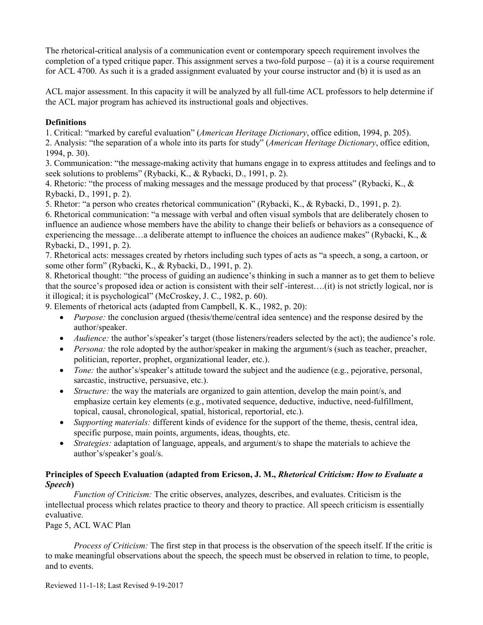The rhetorical-critical analysis of a communication event or contemporary speech requirement involves the completion of a typed critique paper. This assignment serves a two-fold purpose  $-(a)$  it is a course requirement for ACL 4700. As such it is a graded assignment evaluated by your course instructor and (b) it is used as an

ACL major assessment. In this capacity it will be analyzed by all full-time ACL professors to help determine if the ACL major program has achieved its instructional goals and objectives.

## **Definitions**

1. Critical: "marked by careful evaluation" (*American Heritage Dictionary*, office edition, 1994, p. 205). 2. Analysis: "the separation of a whole into its parts for study" (*American Heritage Dictionary*, office edition, 1994, p. 30).

3. Communication: "the message-making activity that humans engage in to express attitudes and feelings and to seek solutions to problems" (Rybacki, K., & Rybacki, D., 1991, p. 2).

4. Rhetoric: "the process of making messages and the message produced by that process" (Rybacki, K., & Rybacki, D., 1991, p. 2).

5. Rhetor: "a person who creates rhetorical communication" (Rybacki, K., & Rybacki, D., 1991, p. 2).

6. Rhetorical communication: "a message with verbal and often visual symbols that are deliberately chosen to influence an audience whose members have the ability to change their beliefs or behaviors as a consequence of experiencing the message…a deliberate attempt to influence the choices an audience makes" (Rybacki, K., & Rybacki, D., 1991, p. 2).

7. Rhetorical acts: messages created by rhetors including such types of acts as "a speech, a song, a cartoon, or some other form" (Rybacki, K., & Rybacki, D., 1991, p. 2).

8. Rhetorical thought: "the process of guiding an audience's thinking in such a manner as to get them to believe that the source's proposed idea or action is consistent with their self -interest….(it) is not strictly logical, nor is it illogical; it is psychological" (McCroskey, J. C., 1982, p. 60).

9. Elements of rhetorical acts (adapted from Campbell, K. K., 1982, p. 20):

- *Purpose:* the conclusion argued (thesis/theme/central idea sentence) and the response desired by the author/speaker.
- *Audience:* the author's/speaker's target (those listeners/readers selected by the act); the audience's role.
- *Persona:* the role adopted by the author/speaker in making the argument/s (such as teacher, preacher, politician, reporter, prophet, organizational leader, etc.).
- *Tone:* the author's/speaker's attitude toward the subject and the audience (e.g., pejorative, personal, sarcastic, instructive, persuasive, etc.).
- *Structure:* the way the materials are organized to gain attention, develop the main point/s, and emphasize certain key elements (e.g., motivated sequence, deductive, inductive, need-fulfillment, topical, causal, chronological, spatial, historical, reportorial, etc.).
- *Supporting materials:* different kinds of evidence for the support of the theme, thesis, central idea, specific purpose, main points, arguments, ideas, thoughts, etc.
- *Strategies:* adaptation of language, appeals, and argument/s to shape the materials to achieve the author's/speaker's goal/s.

## **Principles of Speech Evaluation (adapted from Ericson, J. M.,** *Rhetorical Criticism: How to Evaluate a Speech***)**

*Function of Criticism:* The critic observes, analyzes, describes, and evaluates. Criticism is the intellectual process which relates practice to theory and theory to practice. All speech criticism is essentially evaluative.

Page 5, ACL WAC Plan

*Process of Criticism:* The first step in that process is the observation of the speech itself. If the critic is to make meaningful observations about the speech, the speech must be observed in relation to time, to people, and to events.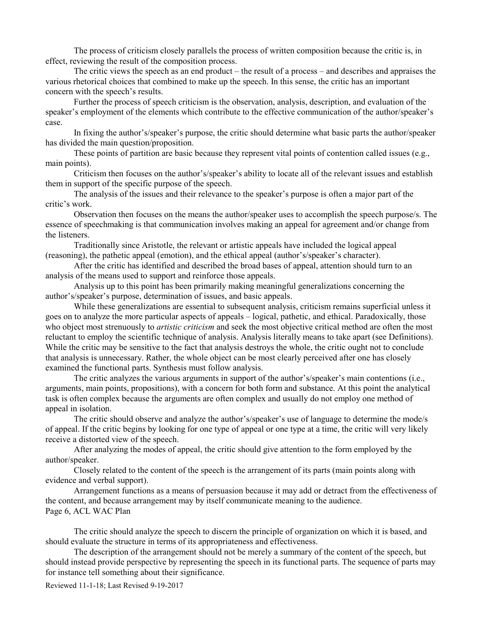The process of criticism closely parallels the process of written composition because the critic is, in effect, reviewing the result of the composition process.

The critic views the speech as an end product – the result of a process – and describes and appraises the various rhetorical choices that combined to make up the speech. In this sense, the critic has an important concern with the speech's results.

Further the process of speech criticism is the observation, analysis, description, and evaluation of the speaker's employment of the elements which contribute to the effective communication of the author/speaker's case.

In fixing the author's/speaker's purpose, the critic should determine what basic parts the author/speaker has divided the main question/proposition.

These points of partition are basic because they represent vital points of contention called issues (e.g., main points).

Criticism then focuses on the author's/speaker's ability to locate all of the relevant issues and establish them in support of the specific purpose of the speech.

The analysis of the issues and their relevance to the speaker's purpose is often a major part of the critic's work.

Observation then focuses on the means the author/speaker uses to accomplish the speech purpose/s. The essence of speechmaking is that communication involves making an appeal for agreement and/or change from the listeners.

Traditionally since Aristotle, the relevant or artistic appeals have included the logical appeal (reasoning), the pathetic appeal (emotion), and the ethical appeal (author's/speaker's character).

After the critic has identified and described the broad bases of appeal, attention should turn to an analysis of the means used to support and reinforce those appeals.

Analysis up to this point has been primarily making meaningful generalizations concerning the author's/speaker's purpose, determination of issues, and basic appeals.

While these generalizations are essential to subsequent analysis, criticism remains superficial unless it goes on to analyze the more particular aspects of appeals – logical, pathetic, and ethical. Paradoxically, those who object most strenuously to *artistic criticism* and seek the most objective critical method are often the most reluctant to employ the scientific technique of analysis. Analysis literally means to take apart (see Definitions). While the critic may be sensitive to the fact that analysis destroys the whole, the critic ought not to conclude that analysis is unnecessary. Rather, the whole object can be most clearly perceived after one has closely examined the functional parts. Synthesis must follow analysis.

The critic analyzes the various arguments in support of the author's/speaker's main contentions (i.e., arguments, main points, propositions), with a concern for both form and substance. At this point the analytical task is often complex because the arguments are often complex and usually do not employ one method of appeal in isolation.

The critic should observe and analyze the author's/speaker's use of language to determine the mode/s of appeal. If the critic begins by looking for one type of appeal or one type at a time, the critic will very likely receive a distorted view of the speech.

After analyzing the modes of appeal, the critic should give attention to the form employed by the author/speaker.

Closely related to the content of the speech is the arrangement of its parts (main points along with evidence and verbal support).

Arrangement functions as a means of persuasion because it may add or detract from the effectiveness of the content, and because arrangement may by itself communicate meaning to the audience. Page 6, ACL WAC Plan

The critic should analyze the speech to discern the principle of organization on which it is based, and should evaluate the structure in terms of its appropriateness and effectiveness.

The description of the arrangement should not be merely a summary of the content of the speech, but should instead provide perspective by representing the speech in its functional parts. The sequence of parts may for instance tell something about their significance.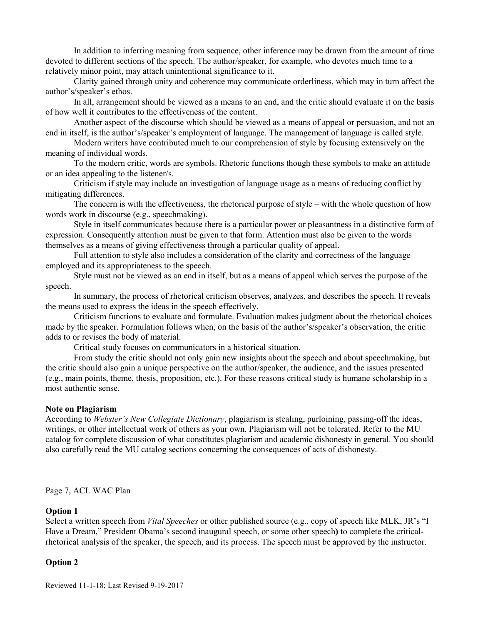In addition to inferring meaning from sequence, other inference may be drawn from the amount of time devoted to different sections of the speech. The author/speaker, for example, who devotes much time to a relatively minor point, may attach unintentional significance to it.

Clarity gained through unity and coherence may communicate orderliness, which may in turn affect the author's/speaker's ethos.

In all, arrangement should be viewed as a means to an end, and the critic should evaluate it on the basis of how well it contributes to the effectiveness of the content.

Another aspect of the discourse which should be viewed as a means of appeal or persuasion, and not an end in itself, is the author's/speaker's employment of language. The management of language is called style.

Modern writers have contributed much to our comprehension of style by focusing extensively on the meaning of individual words.

To the modern critic, words are symbols. Rhetoric functions though these symbols to make an attitude or an idea appealing to the listener/s.

Criticism if style may include an investigation of language usage as a means of reducing conflict by mitigating differences.

The concern is with the effectiveness, the rhetorical purpose of style – with the whole question of how words work in discourse (e.g., speechmaking).

Style in itself communicates because there is a particular power or pleasantness in a distinctive form of expression. Consequently attention must be given to that form. Attention must also be given to the words themselves as a means of giving effectiveness through a particular quality of appeal.

Full attention to style also includes a consideration of the clarity and correctness of the language employed and its appropriateness to the speech.

Style must not be viewed as an end in itself, but as a means of appeal which serves the purpose of the speech.

In summary, the process of rhetorical criticism observes, analyzes, and describes the speech. It reveals the means used to express the ideas in the speech effectively.

Criticism functions to evaluate and formulate. Evaluation makes judgment about the rhetorical choices made by the speaker. Formulation follows when, on the basis of the author's/speaker's observation, the critic adds to or revises the body of material.

Critical study focuses on communicators in a historical situation.

From study the critic should not only gain new insights about the speech and about speechmaking, but the critic should also gain a unique perspective on the author/speaker, the audience, and the issues presented (e.g., main points, theme, thesis, proposition, etc.). For these reasons critical study is humane scholarship in a most authentic sense.

#### **Note on Plagiarism**

According to *Webster's New Collegiate Dictionary*, plagiarism is stealing, purloining, passing-off the ideas, writings, or other intellectual work of others as your own. Plagiarism will not be tolerated. Refer to the MU catalog for complete discussion of what constitutes plagiarism and academic dishonesty in general. You should also carefully read the MU catalog sections concerning the consequences of acts of dishonesty.

Page 7, ACL WAC Plan

#### **Option 1**

Select a written speech from *Vital Speeches* or other published source (e.g., copy of speech like MLK, JR's "I Have a Dream," President Obama's second inaugural speech, or some other speech**)** to complete the criticalrhetorical analysis of the speaker, the speech, and its process. The speech must be approved by the instructor.

#### **Option 2**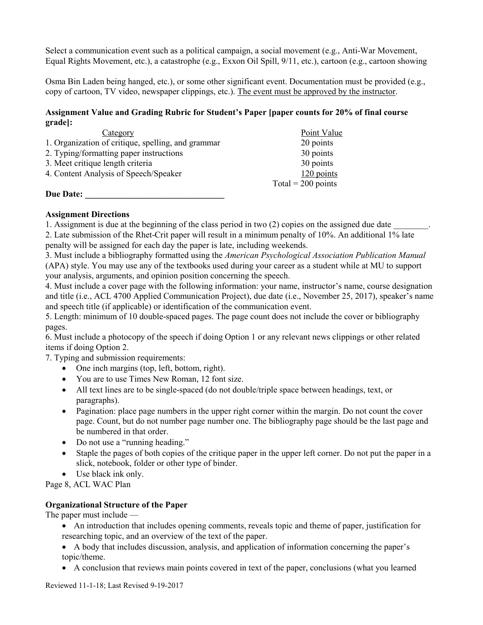Select a communication event such as a political campaign, a social movement (e.g., Anti-War Movement, Equal Rights Movement, etc.), a catastrophe (e.g., Exxon Oil Spill, 9/11, etc.), cartoon (e.g., cartoon showing

Osma Bin Laden being hanged, etc.), or some other significant event. Documentation must be provided (e.g., copy of cartoon, TV video, newspaper clippings, etc.). The event must be approved by the instructor.

# **Assignment Value and Grading Rubric for Student's Paper [paper counts for 20% of final course grade]:**

| Category                                           | Point Value          |
|----------------------------------------------------|----------------------|
| 1. Organization of critique, spelling, and grammar | 20 points            |
| 2. Typing/formatting paper instructions            | 30 points            |
| 3. Meet critique length criteria                   | 30 points            |
| 4. Content Analysis of Speech/Speaker              | 120 points           |
|                                                    | Total = $200$ points |
| <b>Due Date:</b>                                   |                      |

## **Assignment Directions**

1. Assignment is due at the beginning of the class period in two (2) copies on the assigned due date 2. Late submission of the Rhet-Crit paper will result in a minimum penalty of 10%. An additional 1% late penalty will be assigned for each day the paper is late, including weekends.

3. Must include a bibliography formatted using the *American Psychological Association Publication Manual* (APA) style. You may use any of the textbooks used during your career as a student while at MU to support your analysis, arguments, and opinion position concerning the speech.

4. Must include a cover page with the following information: your name, instructor's name, course designation and title (i.e., ACL 4700 Applied Communication Project), due date (i.e., November 25, 2017), speaker's name and speech title (if applicable) or identification of the communication event.

5. Length: minimum of 10 double-spaced pages. The page count does not include the cover or bibliography pages.

6. Must include a photocopy of the speech if doing Option 1 or any relevant news clippings or other related items if doing Option 2.

7. Typing and submission requirements:

- One inch margins (top, left, bottom, right).
- You are to use Times New Roman, 12 font size.
- All text lines are to be single-spaced (do not double/triple space between headings, text, or paragraphs).
- Pagination: place page numbers in the upper right corner within the margin. Do not count the cover page. Count, but do not number page number one. The bibliography page should be the last page and be numbered in that order.
- Do not use a "running heading."
- Staple the pages of both copies of the critique paper in the upper left corner. Do not put the paper in a slick, notebook, folder or other type of binder.
- Use black ink only.

Page 8, ACL WAC Plan

#### **Organizational Structure of the Paper**

The paper must include —

- An introduction that includes opening comments, reveals topic and theme of paper, justification for researching topic, and an overview of the text of the paper.
- A body that includes discussion, analysis, and application of information concerning the paper's topic/theme.
- A conclusion that reviews main points covered in text of the paper, conclusions (what you learned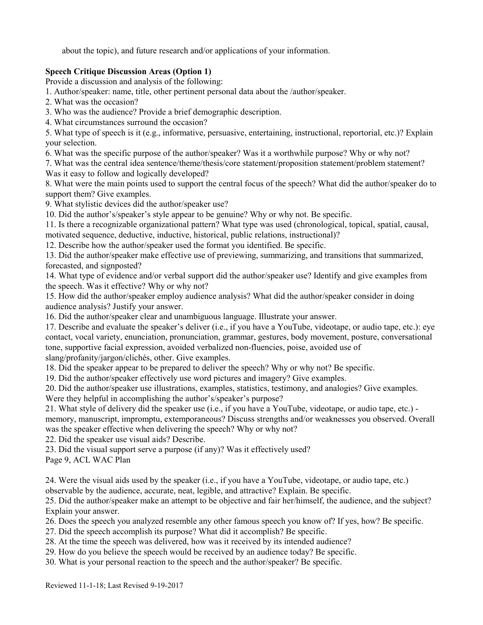about the topic), and future research and/or applications of your information.

# **Speech Critique Discussion Areas (Option 1)**

Provide a discussion and analysis of the following:

1. Author/speaker: name, title, other pertinent personal data about the /author/speaker.

2. What was the occasion?

3. Who was the audience? Provide a brief demographic description.

4. What circumstances surround the occasion?

5. What type of speech is it (e.g., informative, persuasive, entertaining, instructional, reportorial, etc.)? Explain your selection.

6. What was the specific purpose of the author/speaker? Was it a worthwhile purpose? Why or why not?

7. What was the central idea sentence/theme/thesis/core statement/proposition statement/problem statement? Was it easy to follow and logically developed?

8. What were the main points used to support the central focus of the speech? What did the author/speaker do to support them? Give examples.

9. What stylistic devices did the author/speaker use?

10. Did the author's/speaker's style appear to be genuine? Why or why not. Be specific.

11. Is there a recognizable organizational pattern? What type was used (chronological, topical, spatial, causal, motivated sequence, deductive, inductive, historical, public relations, instructional)?

12. Describe how the author/speaker used the format you identified. Be specific.

13. Did the author/speaker make effective use of previewing, summarizing, and transitions that summarized, forecasted, and signposted?

14. What type of evidence and/or verbal support did the author/speaker use? Identify and give examples from the speech. Was it effective? Why or why not?

15. How did the author/speaker employ audience analysis? What did the author/speaker consider in doing audience analysis? Justify your answer.

16. Did the author/speaker clear and unambiguous language. Illustrate your answer.

17. Describe and evaluate the speaker's deliver (i.e., if you have a YouTube, videotape, or audio tape, etc.): eye contact, vocal variety, enunciation, pronunciation, grammar, gestures, body movement, posture, conversational tone, supportive facial expression, avoided verbalized non-fluencies, poise, avoided use of slang/profanity/jargon/clichés, other. Give examples.

18. Did the speaker appear to be prepared to deliver the speech? Why or why not? Be specific.

19. Did the author/speaker effectively use word pictures and imagery? Give examples.

20. Did the author/speaker use illustrations, examples, statistics, testimony, and analogies? Give examples.

Were they helpful in accomplishing the author's/speaker's purpose?

21. What style of delivery did the speaker use (i.e., if you have a YouTube, videotape, or audio tape, etc.) -

memory, manuscript, impromptu, extemporaneous? Discuss strengths and/or weaknesses you observed. Overall was the speaker effective when delivering the speech? Why or why not?

22. Did the speaker use visual aids? Describe.

23. Did the visual support serve a purpose (if any)? Was it effectively used?

Page 9, ACL WAC Plan

24. Were the visual aids used by the speaker (i.e., if you have a YouTube, videotape, or audio tape, etc.)

observable by the audience, accurate, neat, legible, and attractive? Explain. Be specific.

25. Did the author/speaker make an attempt to be objective and fair her/himself, the audience, and the subject? Explain your answer.

26. Does the speech you analyzed resemble any other famous speech you know of? If yes, how? Be specific.

27. Did the speech accomplish its purpose? What did it accomplish? Be specific.

28. At the time the speech was delivered, how was it received by its intended audience?

29. How do you believe the speech would be received by an audience today? Be specific.

30. What is your personal reaction to the speech and the author/speaker? Be specific.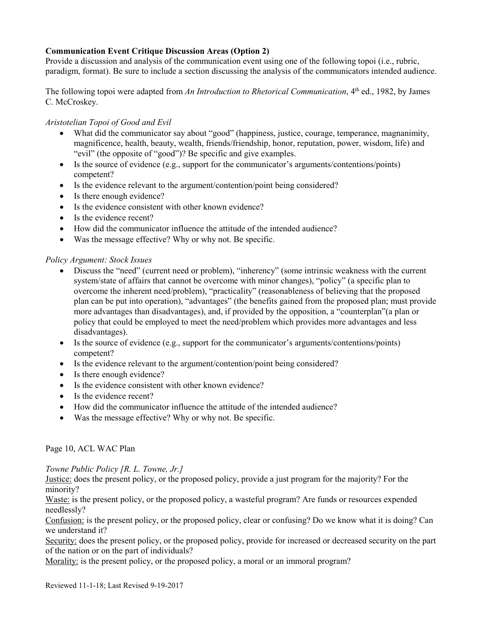## **Communication Event Critique Discussion Areas (Option 2)**

Provide a discussion and analysis of the communication event using one of the following topoi (i.e., rubric, paradigm, format). Be sure to include a section discussing the analysis of the communicators intended audience.

The following topoi were adapted from *An Introduction to Rhetorical Communication*, 4<sup>th</sup> ed., 1982, by James C. McCroskey.

## *Aristotelian Topoi of Good and Evil*

- What did the communicator say about "good" (happiness, justice, courage, temperance, magnanimity, magnificence, health, beauty, wealth, friends/friendship, honor, reputation, power, wisdom, life) and "evil" (the opposite of "good")? Be specific and give examples.
- Is the source of evidence (e.g., support for the communicator's arguments/contentions/points) competent?
- Is the evidence relevant to the argument/contention/point being considered?
- Is there enough evidence?
- Is the evidence consistent with other known evidence?
- Is the evidence recent?
- How did the communicator influence the attitude of the intended audience?
- Was the message effective? Why or why not. Be specific.

#### *Policy Argument: Stock Issues*

- Discuss the "need" (current need or problem), "inherency" (some intrinsic weakness with the current system/state of affairs that cannot be overcome with minor changes), "policy" (a specific plan to overcome the inherent need/problem), "practicality" (reasonableness of believing that the proposed plan can be put into operation), "advantages" (the benefits gained from the proposed plan; must provide more advantages than disadvantages), and, if provided by the opposition, a "counterplan"(a plan or policy that could be employed to meet the need/problem which provides more advantages and less disadvantages).
- Is the source of evidence (e.g., support for the communicator's arguments/contentions/points) competent?
- Is the evidence relevant to the argument/contention/point being considered?
- Is there enough evidence?
- Is the evidence consistent with other known evidence?
- Is the evidence recent?
- How did the communicator influence the attitude of the intended audience?
- Was the message effective? Why or why not. Be specific.

## Page 10, ACL WAC Plan

*Towne Public Policy [R. L. Towne, Jr.]*

Justice: does the present policy, or the proposed policy, provide a just program for the majority? For the minority?

Waste: is the present policy, or the proposed policy, a wasteful program? Are funds or resources expended needlessly?

Confusion: is the present policy, or the proposed policy, clear or confusing? Do we know what it is doing? Can we understand it?

Security: does the present policy, or the proposed policy, provide for increased or decreased security on the part of the nation or on the part of individuals?

Morality: is the present policy, or the proposed policy, a moral or an immoral program?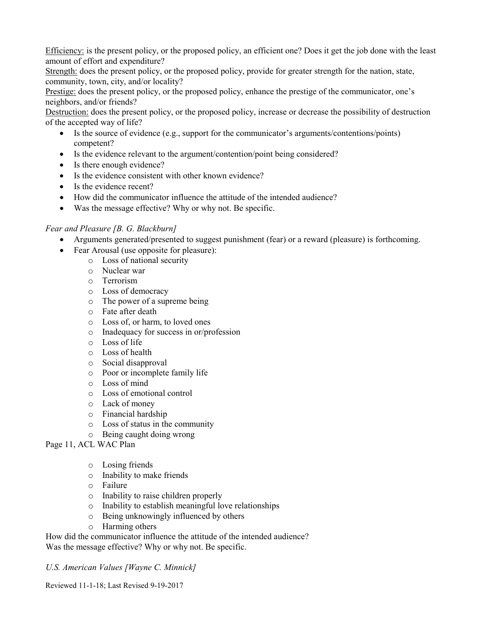Efficiency: is the present policy, or the proposed policy, an efficient one? Does it get the job done with the least amount of effort and expenditure?

Strength: does the present policy, or the proposed policy, provide for greater strength for the nation, state, community, town, city, and/or locality?

Prestige: does the present policy, or the proposed policy, enhance the prestige of the communicator, one's neighbors, and/or friends?

Destruction: does the present policy, or the proposed policy, increase or decrease the possibility of destruction of the accepted way of life?

- Is the source of evidence (e.g., support for the communicator's arguments/contentions/points) competent?
- Is the evidence relevant to the argument/contention/point being considered?
- Is there enough evidence?
- Is the evidence consistent with other known evidence?
- Is the evidence recent?
- How did the communicator influence the attitude of the intended audience?
- Was the message effective? Why or why not. Be specific.

## *Fear and Pleasure [B. G. Blackburn]*

- Arguments generated/presented to suggest punishment (fear) or a reward (pleasure) is forthcoming.
- Fear Arousal (use opposite for pleasure):
	- o Loss of national security
	- o Nuclear war
	- o Terrorism
	- o Loss of democracy
	- o The power of a supreme being
	- o Fate after death
	- o Loss of, or harm, to loved ones
	- o Inadequacy for success in or/profession
	- o Loss of life
	- o Loss of health
	- o Social disapproval
	- o Poor or incomplete family life
	- o Loss of mind
	- o Loss of emotional control
	- o Lack of money
	- o Financial hardship
	- o Loss of status in the community
	- o Being caught doing wrong
- Page 11, ACL WAC Plan
	- o Losing friends
	- o Inability to make friends
	- o Failure
	- o Inability to raise children properly
	- o Inability to establish meaningful love relationships
	- o Being unknowingly influenced by others
	- o Harming others

How did the communicator influence the attitude of the intended audience? Was the message effective? Why or why not. Be specific.

*U.S. American Values [Wayne C. Minnick]*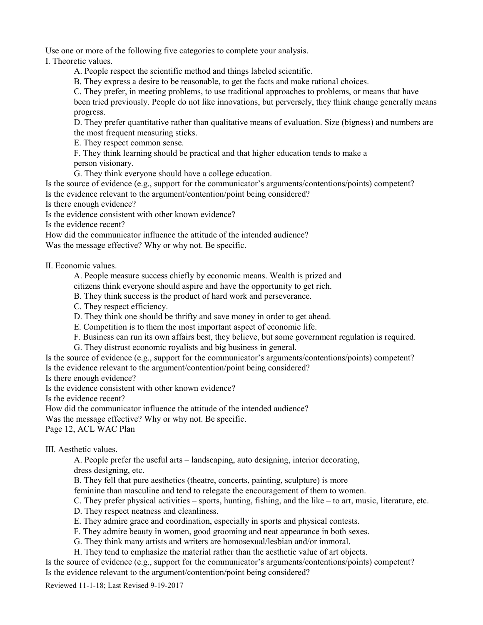Use one or more of the following five categories to complete your analysis.

I. Theoretic values.

A. People respect the scientific method and things labeled scientific.

B. They express a desire to be reasonable, to get the facts and make rational choices.

C. They prefer, in meeting problems, to use traditional approaches to problems, or means that have been tried previously. People do not like innovations, but perversely, they think change generally means progress.

D. They prefer quantitative rather than qualitative means of evaluation. Size (bigness) and numbers are the most frequent measuring sticks.

E. They respect common sense.

F. They think learning should be practical and that higher education tends to make a person visionary.

G. They think everyone should have a college education.

Is the source of evidence (e.g., support for the communicator's arguments/contentions/points) competent? Is the evidence relevant to the argument/contention/point being considered?

Is there enough evidence?

Is the evidence consistent with other known evidence?

Is the evidence recent?

How did the communicator influence the attitude of the intended audience?

Was the message effective? Why or why not. Be specific.

II. Economic values.

A. People measure success chiefly by economic means. Wealth is prized and

citizens think everyone should aspire and have the opportunity to get rich.

B. They think success is the product of hard work and perseverance.

C. They respect efficiency.

D. They think one should be thrifty and save money in order to get ahead.

E. Competition is to them the most important aspect of economic life.

F. Business can run its own affairs best, they believe, but some government regulation is required.

G. They distrust economic royalists and big business in general.

Is the source of evidence (e.g., support for the communicator's arguments/contentions/points) competent? Is the evidence relevant to the argument/contention/point being considered?

Is there enough evidence?

Is the evidence consistent with other known evidence?

Is the evidence recent?

How did the communicator influence the attitude of the intended audience?

Was the message effective? Why or why not. Be specific.

Page 12, ACL WAC Plan

III. Aesthetic values.

A. People prefer the useful arts – landscaping, auto designing, interior decorating, dress designing, etc.

B. They fell that pure aesthetics (theatre, concerts, painting, sculpture) is more

feminine than masculine and tend to relegate the encouragement of them to women.

C. They prefer physical activities – sports, hunting, fishing, and the like – to art, music, literature, etc.

D. They respect neatness and cleanliness.

E. They admire grace and coordination, especially in sports and physical contests.

F. They admire beauty in women, good grooming and neat appearance in both sexes.

G. They think many artists and writers are homosexual/lesbian and/or immoral.

H. They tend to emphasize the material rather than the aesthetic value of art objects.

Is the source of evidence (e.g., support for the communicator's arguments/contentions/points) competent? Is the evidence relevant to the argument/contention/point being considered?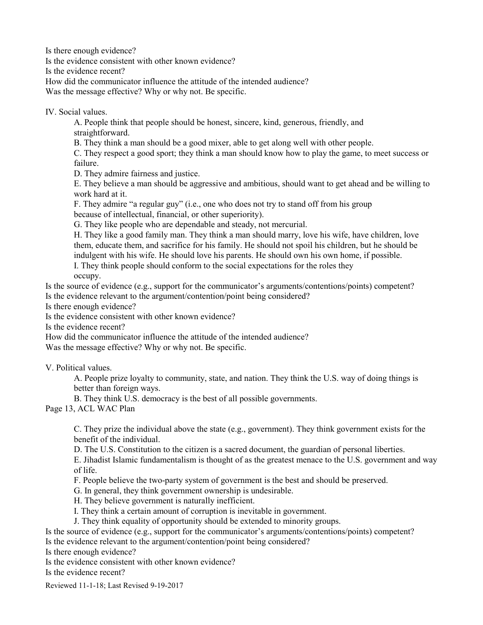Is there enough evidence?

Is the evidence consistent with other known evidence?

Is the evidence recent?

How did the communicator influence the attitude of the intended audience?

Was the message effective? Why or why not. Be specific.

IV. Social values.

A. People think that people should be honest, sincere, kind, generous, friendly, and straightforward.

B. They think a man should be a good mixer, able to get along well with other people.

C. They respect a good sport; they think a man should know how to play the game, to meet success or failure.

D. They admire fairness and justice.

E. They believe a man should be aggressive and ambitious, should want to get ahead and be willing to work hard at it.

F. They admire "a regular guy" (i.e., one who does not try to stand off from his group because of intellectual, financial, or other superiority).

G. They like people who are dependable and steady, not mercurial.

H. They like a good family man. They think a man should marry, love his wife, have children, love them, educate them, and sacrifice for his family. He should not spoil his children, but he should be indulgent with his wife. He should love his parents. He should own his own home, if possible.

I. They think people should conform to the social expectations for the roles they occupy.

Is the source of evidence (e.g., support for the communicator's arguments/contentions/points) competent? Is the evidence relevant to the argument/contention/point being considered?

Is there enough evidence?

Is the evidence consistent with other known evidence?

Is the evidence recent?

How did the communicator influence the attitude of the intended audience?

Was the message effective? Why or why not. Be specific.

V. Political values.

A. People prize loyalty to community, state, and nation. They think the U.S. way of doing things is better than foreign ways.

B. They think U.S. democracy is the best of all possible governments.

Page 13, ACL WAC Plan

C. They prize the individual above the state (e.g., government). They think government exists for the benefit of the individual.

D. The U.S. Constitution to the citizen is a sacred document, the guardian of personal liberties.

E. Jihadist Islamic fundamentalism is thought of as the greatest menace to the U.S. government and way of life.

F. People believe the two-party system of government is the best and should be preserved.

G. In general, they think government ownership is undesirable.

H. They believe government is naturally inefficient.

I. They think a certain amount of corruption is inevitable in government.

J. They think equality of opportunity should be extended to minority groups.

Is the source of evidence (e.g., support for the communicator's arguments/contentions/points) competent? Is the evidence relevant to the argument/contention/point being considered?

Is there enough evidence?

Is the evidence consistent with other known evidence?

Is the evidence recent?